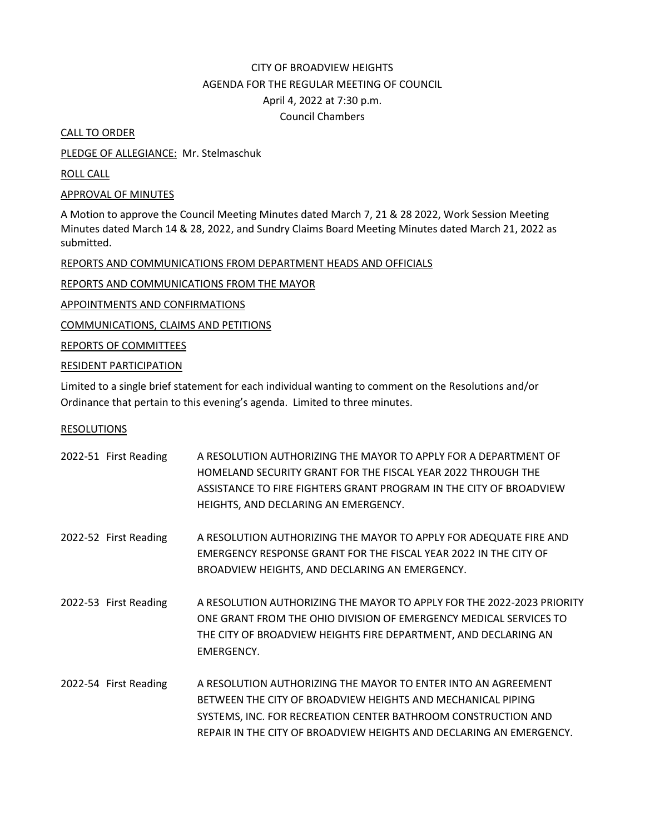## CITY OF BROADVIEW HEIGHTS AGENDA FOR THE REGULAR MEETING OF COUNCIL April 4, 2022 at 7:30 p.m. Council Chambers

CALL TO ORDER

PLEDGE OF ALLEGIANCE: Mr. Stelmaschuk

ROLL CALL

APPROVAL OF MINUTES

A Motion to approve the Council Meeting Minutes dated March 7, 21 & 28 2022, Work Session Meeting Minutes dated March 14 & 28, 2022, and Sundry Claims Board Meeting Minutes dated March 21, 2022 as submitted.

REPORTS AND COMMUNICATIONS FROM DEPARTMENT HEADS AND OFFICIALS

REPORTS AND COMMUNICATIONS FROM THE MAYOR

APPOINTMENTS AND CONFIRMATIONS

COMMUNICATIONS, CLAIMS AND PETITIONS

REPORTS OF COMMITTEES

RESIDENT PARTICIPATION

Limited to a single brief statement for each individual wanting to comment on the Resolutions and/or Ordinance that pertain to this evening's agenda. Limited to three minutes.

## RESOLUTIONS

| 2022-51 First Reading | A RESOLUTION AUTHORIZING THE MAYOR TO APPLY FOR A DEPARTMENT OF<br>HOMELAND SECURITY GRANT FOR THE FISCAL YEAR 2022 THROUGH THE<br>ASSISTANCE TO FIRE FIGHTERS GRANT PROGRAM IN THE CITY OF BROADVIEW<br>HEIGHTS, AND DECLARING AN EMERGENCY.                        |
|-----------------------|----------------------------------------------------------------------------------------------------------------------------------------------------------------------------------------------------------------------------------------------------------------------|
| 2022-52 First Reading | A RESOLUTION AUTHORIZING THE MAYOR TO APPLY FOR ADEQUATE FIRE AND<br>EMERGENCY RESPONSE GRANT FOR THE FISCAL YEAR 2022 IN THE CITY OF<br>BROADVIEW HEIGHTS, AND DECLARING AN EMERGENCY.                                                                              |
| 2022-53 First Reading | A RESOLUTION AUTHORIZING THE MAYOR TO APPLY FOR THE 2022-2023 PRIORITY<br>ONE GRANT FROM THE OHIO DIVISION OF EMERGENCY MEDICAL SERVICES TO<br>THE CITY OF BROADVIEW HEIGHTS FIRE DEPARTMENT, AND DECLARING AN<br>EMERGENCY.                                         |
| 2022-54 First Reading | A RESOLUTION AUTHORIZING THE MAYOR TO ENTER INTO AN AGREEMENT<br>BETWEEN THE CITY OF BROADVIEW HEIGHTS AND MECHANICAL PIPING<br>SYSTEMS, INC. FOR RECREATION CENTER BATHROOM CONSTRUCTION AND<br>REPAIR IN THE CITY OF BROADVIEW HEIGHTS AND DECLARING AN EMERGENCY. |